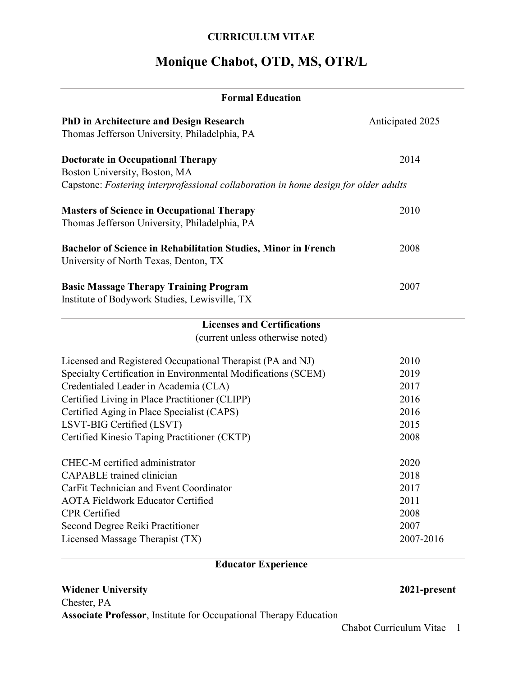### **CURRICULUM VITAE**

# **Monique Chabot, OTD, MS, OTR/L**

| <b>Formal Education</b>                                                                                                                                                                                                                                                                                                                           |                                                           |
|---------------------------------------------------------------------------------------------------------------------------------------------------------------------------------------------------------------------------------------------------------------------------------------------------------------------------------------------------|-----------------------------------------------------------|
| <b>PhD in Architecture and Design Research</b><br>Thomas Jefferson University, Philadelphia, PA                                                                                                                                                                                                                                                   | Anticipated 2025                                          |
| <b>Doctorate in Occupational Therapy</b><br>Boston University, Boston, MA                                                                                                                                                                                                                                                                         | 2014                                                      |
| Capstone: Fostering interprofessional collaboration in home design for older adults                                                                                                                                                                                                                                                               |                                                           |
| <b>Masters of Science in Occupational Therapy</b><br>Thomas Jefferson University, Philadelphia, PA                                                                                                                                                                                                                                                | 2010                                                      |
| <b>Bachelor of Science in Rehabilitation Studies, Minor in French</b><br>University of North Texas, Denton, TX                                                                                                                                                                                                                                    | 2008                                                      |
| <b>Basic Massage Therapy Training Program</b><br>Institute of Bodywork Studies, Lewisville, TX                                                                                                                                                                                                                                                    | 2007                                                      |
| <b>Licenses and Certifications</b><br>(current unless otherwise noted)                                                                                                                                                                                                                                                                            |                                                           |
| Licensed and Registered Occupational Therapist (PA and NJ)<br>Specialty Certification in Environmental Modifications (SCEM)<br>Credentialed Leader in Academia (CLA)<br>Certified Living in Place Practitioner (CLIPP)<br>Certified Aging in Place Specialist (CAPS)<br>LSVT-BIG Certified (LSVT)<br>Certified Kinesio Taping Practitioner (CKTP) | 2010<br>2019<br>2017<br>2016<br>2016<br>2015<br>2008      |
| CHEC-M certified administrator<br><b>CAPABLE</b> trained clinician<br>CarFit Technician and Event Coordinator<br><b>AOTA Fieldwork Educator Certified</b><br><b>CPR</b> Certified<br>Second Degree Reiki Practitioner<br>Licensed Massage Therapist (TX)                                                                                          | 2020<br>2018<br>2017<br>2011<br>2008<br>2007<br>2007-2016 |

## **Educator Experience**

## **Widener University 2021-present** Chester, PA **Associate Professor**, Institute for Occupational Therapy Education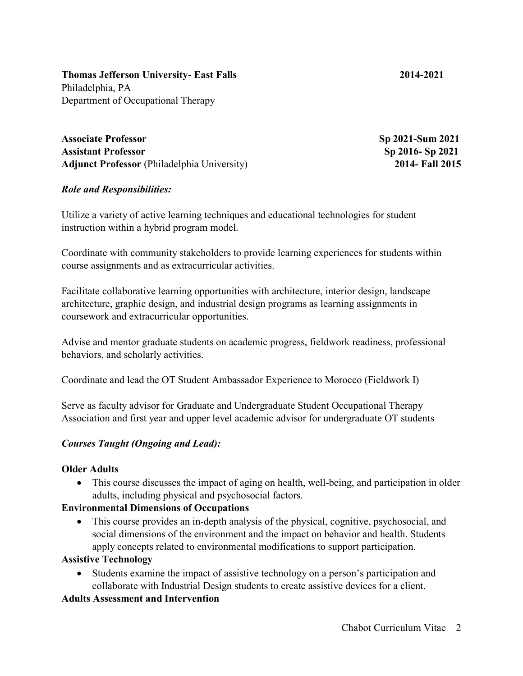**Thomas Jefferson University- East Falls 2014-2021** Philadelphia, PA Department of Occupational Therapy

**Associate Professor Sp 2021-Sum 2021 Assistant Professor Sp 2016- Sp 2021 Adjunct Professor** (Philadelphia University) **2014- Fall 2015**

#### *Role and Responsibilities:*

Utilize a variety of active learning techniques and educational technologies for student instruction within a hybrid program model.

Coordinate with community stakeholders to provide learning experiences for students within course assignments and as extracurricular activities.

Facilitate collaborative learning opportunities with architecture, interior design, landscape architecture, graphic design, and industrial design programs as learning assignments in coursework and extracurricular opportunities.

Advise and mentor graduate students on academic progress, fieldwork readiness, professional behaviors, and scholarly activities.

Coordinate and lead the OT Student Ambassador Experience to Morocco (Fieldwork I)

Serve as faculty advisor for Graduate and Undergraduate Student Occupational Therapy Association and first year and upper level academic advisor for undergraduate OT students

#### *Courses Taught (Ongoing and Lead):*

#### **Older Adults**

• This course discusses the impact of aging on health, well-being, and participation in older adults, including physical and psychosocial factors.

#### **Environmental Dimensions of Occupations**

• This course provides an in-depth analysis of the physical, cognitive, psychosocial, and social dimensions of the environment and the impact on behavior and health. Students apply concepts related to environmental modifications to support participation.

#### **Assistive Technology**

• Students examine the impact of assistive technology on a person's participation and collaborate with Industrial Design students to create assistive devices for a client.

#### **Adults Assessment and Intervention**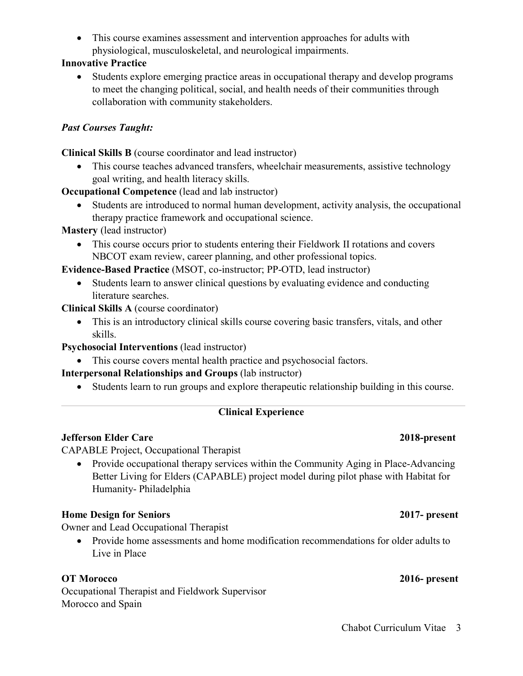• This course examines assessment and intervention approaches for adults with physiological, musculoskeletal, and neurological impairments.

### **Innovative Practice**

• Students explore emerging practice areas in occupational therapy and develop programs to meet the changing political, social, and health needs of their communities through collaboration with community stakeholders.

## *Past Courses Taught:*

**Clinical Skills B** (course coordinator and lead instructor)

• This course teaches advanced transfers, wheelchair measurements, assistive technology goal writing, and health literacy skills.

**Occupational Competence** (lead and lab instructor)

• Students are introduced to normal human development, activity analysis, the occupational therapy practice framework and occupational science.

**Mastery** (lead instructor)

• This course occurs prior to students entering their Fieldwork II rotations and covers NBCOT exam review, career planning, and other professional topics.

**Evidence-Based Practice** (MSOT, co-instructor; PP-OTD, lead instructor)

• Students learn to answer clinical questions by evaluating evidence and conducting literature searches.

**Clinical Skills A** (course coordinator)

• This is an introductory clinical skills course covering basic transfers, vitals, and other skills.

## **Psychosocial Interventions** (lead instructor)

• This course covers mental health practice and psychosocial factors.

## **Interpersonal Relationships and Groups** (lab instructor)

• Students learn to run groups and explore therapeutic relationship building in this course.

## **Clinical Experience**

## **Jefferson Elder Care 2018-present**

CAPABLE Project, Occupational Therapist

• Provide occupational therapy services within the Community Aging in Place-Advancing Better Living for Elders (CAPABLE) project model during pilot phase with Habitat for Humanity- Philadelphia

## **Home Design for Seniors 2017- present**

Owner and Lead Occupational Therapist

• Provide home assessments and home modification recommendations for older adults to Live in Place

### **OT Morocco 2016- present**

Occupational Therapist and Fieldwork Supervisor Morocco and Spain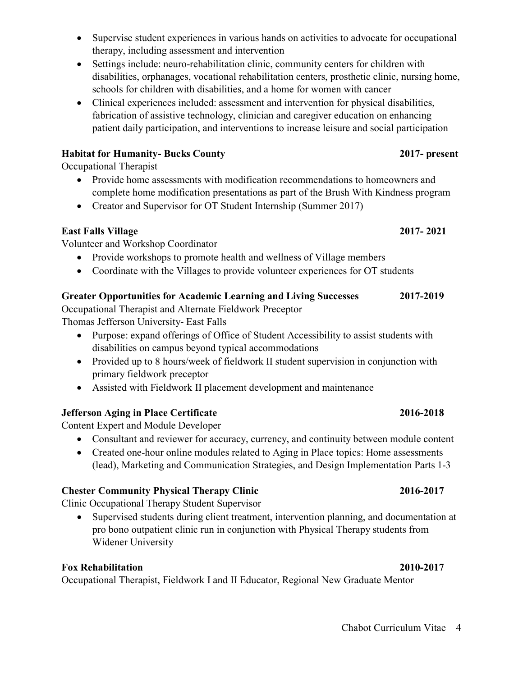- Supervise student experiences in various hands on activities to advocate for occupational therapy, including assessment and intervention
- Settings include: neuro-rehabilitation clinic, community centers for children with disabilities, orphanages, vocational rehabilitation centers, prosthetic clinic, nursing home, schools for children with disabilities, and a home for women with cancer
- Clinical experiences included: assessment and intervention for physical disabilities, fabrication of assistive technology, clinician and caregiver education on enhancing patient daily participation, and interventions to increase leisure and social participation

### **Habitat for Humanity- Bucks County 2017- present**

Occupational Therapist

- Provide home assessments with modification recommendations to homeowners and complete home modification presentations as part of the Brush With Kindness program
- Creator and Supervisor for OT Student Internship (Summer 2017)

## **East Falls Village 2017- 2021**

Volunteer and Workshop Coordinator

- Provide workshops to promote health and wellness of Village members
- Coordinate with the Villages to provide volunteer experiences for OT students

## **Greater Opportunities for Academic Learning and Living Successes 2017-2019**

Occupational Therapist and Alternate Fieldwork Preceptor

Thomas Jefferson University- East Falls

- Purpose: expand offerings of Office of Student Accessibility to assist students with disabilities on campus beyond typical accommodations
- Provided up to 8 hours/week of fieldwork II student supervision in conjunction with primary fieldwork preceptor
- Assisted with Fieldwork II placement development and maintenance

## **Jefferson Aging in Place Certificate 2016-2018**

Content Expert and Module Developer

- Consultant and reviewer for accuracy, currency, and continuity between module content
- Created one-hour online modules related to Aging in Place topics: Home assessments (lead), Marketing and Communication Strategies, and Design Implementation Parts 1-3

## **Chester Community Physical Therapy Clinic 2016-2017**

Clinic Occupational Therapy Student Supervisor

• Supervised students during client treatment, intervention planning, and documentation at pro bono outpatient clinic run in conjunction with Physical Therapy students from Widener University

## **Fox Rehabilitation 2010-2017**

Occupational Therapist, Fieldwork I and II Educator, Regional New Graduate Mentor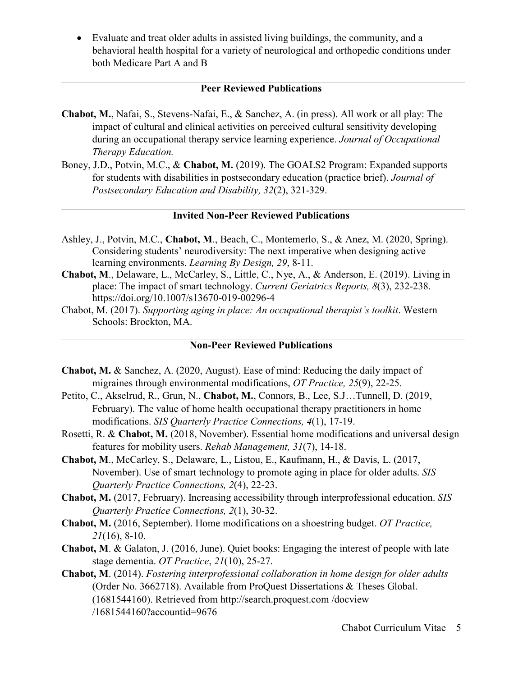• Evaluate and treat older adults in assisted living buildings, the community, and a behavioral health hospital for a variety of neurological and orthopedic conditions under both Medicare Part A and B

#### **Peer Reviewed Publications**

- **Chabot, M.**, Nafai, S., Stevens-Nafai, E., & Sanchez, A. (in press). All work or all play: The impact of cultural and clinical activities on perceived cultural sensitivity developing during an occupational therapy service learning experience. *Journal of Occupational Therapy Education.*
- Boney, J.D., Potvin, M.C., & **Chabot, M.** (2019). The GOALS2 Program: Expanded supports for students with disabilities in postsecondary education (practice brief). *Journal of Postsecondary Education and Disability, 32*(2), 321-329.

#### **Invited Non-Peer Reviewed Publications**

- Ashley, J., Potvin, M.C., **Chabot, M**., Beach, C., Montemerlo, S., & Anez, M. (2020, Spring). Considering students' neurodiversity: The next imperative when designing active learning environments. *Learning By Design, 29*, 8-11.
- **Chabot, M**., Delaware, L., McCarley, S., Little, C., Nye, A., & Anderson, E. (2019). Living in place: The impact of smart technology. *Current Geriatrics Reports, 8*(3), 232-238. https://doi.org/10.1007/s13670-019-00296-4
- Chabot, M. (2017). *Supporting aging in place: An occupational therapist's toolkit*. Western Schools: Brockton, MA.

#### **Non-Peer Reviewed Publications**

- **Chabot, M.** & Sanchez, A. (2020, August). Ease of mind: Reducing the daily impact of migraines through environmental modifications, *OT Practice, 25*(9), 22-25.
- Petito, C., Akselrud, R., Grun, N., **Chabot, M.**, Connors, B., Lee, S.J…Tunnell, D. (2019, February). The value of home health occupational therapy practitioners in home modifications. *SIS Quarterly Practice Connections, 4*(1), 17-19.
- Rosetti, R. & **Chabot, M.** (2018, November). Essential home modifications and universal design features for mobility users. *Rehab Management, 31*(7), 14-18.
- **Chabot, M**., McCarley, S., Delaware, L., Listou, E., Kaufmann, H., & Davis, L. (2017, November). Use of smart technology to promote aging in place for older adults. *SIS Quarterly Practice Connections, 2*(4), 22-23.
- **Chabot, M.** (2017, February). Increasing accessibility through interprofessional education. *SIS Quarterly Practice Connections, 2*(1), 30-32.
- **Chabot, M.** (2016, September). Home modifications on a shoestring budget. *OT Practice, 21*(16), 8-10.
- **Chabot, M**. & Galaton, J. (2016, June). Quiet books: Engaging the interest of people with late stage dementia. *OT Practice*, *21*(10), 25-27.
- **Chabot, M**. (2014). *Fostering interprofessional collaboration in home design for older adults*  (Order No. 3662718). Available from ProQuest Dissertations & Theses Global. (1681544160). Retrieved from http://search.proquest.com /docview /1681544160?accountid=9676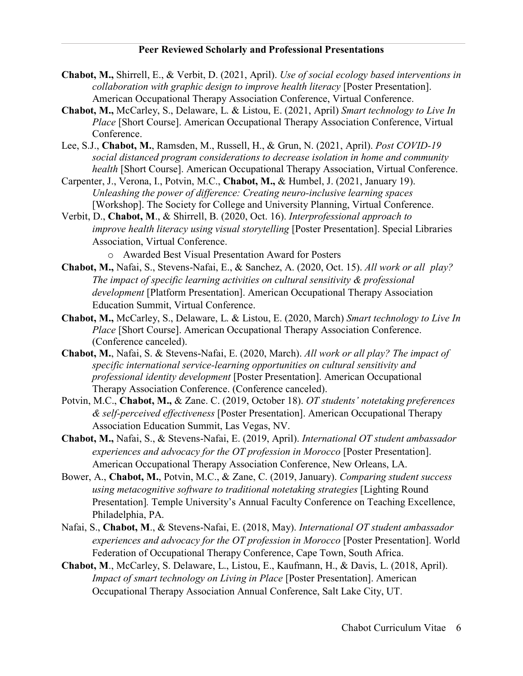#### **Peer Reviewed Scholarly and Professional Presentations**

- **Chabot, M.,** Shirrell, E., & Verbit, D. (2021, April). *Use of social ecology based interventions in collaboration with graphic design to improve health literacy* [Poster Presentation]. American Occupational Therapy Association Conference, Virtual Conference.
- **Chabot, M.,** McCarley, S., Delaware, L. & Listou, E. (2021, April) *Smart technology to Live In Place* [Short Course]. American Occupational Therapy Association Conference, Virtual Conference.
- Lee, S.J., **Chabot, M.**, Ramsden, M., Russell, H., & Grun, N. (2021, April). *Post COVID-19 social distanced program considerations to decrease isolation in home and community health* [Short Course]. American Occupational Therapy Association, Virtual Conference.
- Carpenter, J., Verona, I., Potvin, M.C., **Chabot, M.,** & Humbel, J. (2021, January 19). *Unleashing the power of difference: Creating neuro-inclusive learning spaces* [Workshop]. The Society for College and University Planning, Virtual Conference.
- Verbit, D., **Chabot, M**., & Shirrell, B. (2020, Oct. 16). *Interprofessional approach to improve health literacy using visual storytelling* [Poster Presentation]. Special Libraries Association, Virtual Conference.
	- o Awarded Best Visual Presentation Award for Posters
- **Chabot, M.,** Nafai, S., Stevens-Nafai, E., & Sanchez, A. (2020, Oct. 15). *All work or all play? The impact of specific learning activities on cultural sensitivity & professional development* [Platform Presentation]. American Occupational Therapy Association Education Summit, Virtual Conference.
- **Chabot, M.,** McCarley, S., Delaware, L. & Listou, E. (2020, March) *Smart technology to Live In Place* [Short Course]. American Occupational Therapy Association Conference. (Conference canceled).
- **Chabot, M.**, Nafai, S. & Stevens-Nafai, E. (2020, March). *All work or all play? The impact of specific international service-learning opportunities on cultural sensitivity and professional identity development* [Poster Presentation]. American Occupational Therapy Association Conference. (Conference canceled).
- Potvin, M.C., **Chabot, M.,** & Zane. C. (2019, October 18). *OT students' notetaking preferences & self-perceived effectiveness* [Poster Presentation]. American Occupational Therapy Association Education Summit, Las Vegas, NV.
- **Chabot, M.,** Nafai, S., & Stevens-Nafai, E. (2019, April). *International OT student ambassador experiences and advocacy for the OT profession in Morocco* [Poster Presentation]. American Occupational Therapy Association Conference, New Orleans, LA.
- Bower, A., **Chabot, M.**, Potvin, M.C., & Zane, C. (2019, January). *Comparing student success using metacognitive software to traditional notetaking strategies* [Lighting Round Presentation]*.* Temple University's Annual Faculty Conference on Teaching Excellence, Philadelphia, PA.
- Nafai, S., **Chabot, M**., & Stevens-Nafai, E. (2018, May). *International OT student ambassador experiences and advocacy for the OT profession in Morocco* [Poster Presentation]. World Federation of Occupational Therapy Conference, Cape Town, South Africa.
- **Chabot, M**., McCarley, S. Delaware, L., Listou, E., Kaufmann, H., & Davis, L. (2018, April). *Impact of smart technology on Living in Place* [Poster Presentation]. American Occupational Therapy Association Annual Conference, Salt Lake City, UT.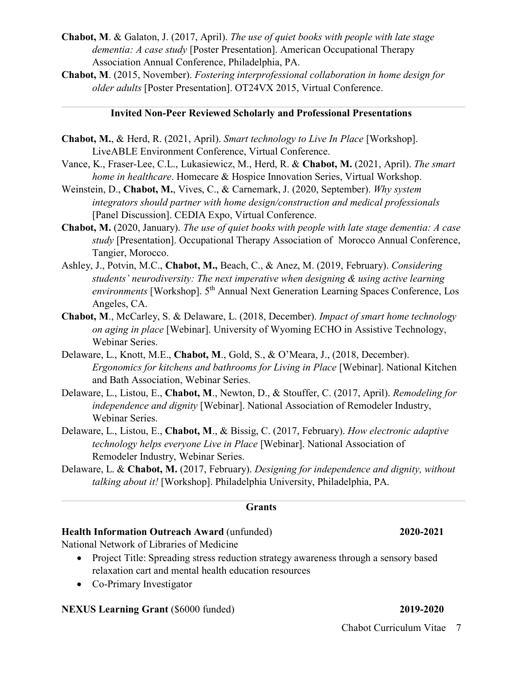- **Chabot, M**. & Galaton, J. (2017, April). *The use of quiet books with people with late stage dementia: A case study* [Poster Presentation]. American Occupational Therapy Association Annual Conference, Philadelphia, PA.
- **Chabot, M**. (2015, November). *Fostering interprofessional collaboration in home design for older adults* [Poster Presentation]. OT24VX 2015, Virtual Conference.

#### **Invited Non-Peer Reviewed Scholarly and Professional Presentations**

- **Chabot, M.**, & Herd, R. (2021, April). *Smart technology to Live In Place* [Workshop]. LiveABLE Environment Conference, Virtual Conference.
- Vance, K., Fraser-Lee, C.L., Lukasiewicz, M., Herd, R. & **Chabot, M.** (2021, April). *The smart home in healthcare*. Homecare & Hospice Innovation Series, Virtual Workshop.
- Weinstein, D., **Chabot, M.**, Vives, C., & Carnemark, J. (2020, September). *Why system integrators should partner with home design/construction and medical professionals* [Panel Discussion]. CEDIA Expo, Virtual Conference.
- **Chabot, M.** (2020, January). *The use of quiet books with people with late stage dementia: A case study* [Presentation]. Occupational Therapy Association of Morocco Annual Conference, Tangier, Morocco.
- Ashley, J., Potvin, M.C., **Chabot, M.,** Beach, C., & Anez, M. (2019, February). *Considering students' neurodiversity: The next imperative when designing & using active learning environments* [Workshop]. 5<sup>th</sup> Annual Next Generation Learning Spaces Conference, Los Angeles, CA.
- **Chabot, M**., McCarley, S. & Delaware, L. (2018, December). *Impact of smart home technology on aging in place* [Webinar]. University of Wyoming ECHO in Assistive Technology, Webinar Series.
- Delaware, L., Knott, M.E., **Chabot, M**., Gold, S., & O'Meara, J., (2018, December). *Ergonomics for kitchens and bathrooms for Living in Place* [Webinar]. National Kitchen and Bath Association, Webinar Series.
- Delaware, L., Listou, E., **Chabot, M**., Newton, D., & Stouffer, C. (2017, April). *Remodeling for independence and dignity* [Webinar]. National Association of Remodeler Industry, Webinar Series.
- Delaware, L., Listou, E., **Chabot, M**., & Bissig, C. (2017, February). *How electronic adaptive technology helps everyone Live in Place* [Webinar]. National Association of Remodeler Industry, Webinar Series.
- Delaware, L. & **Chabot, M.** (2017, February). *Designing for independence and dignity, without talking about it!* [Workshop]. Philadelphia University, Philadelphia, PA.

#### **Grants**

#### **Health Information Outreach Award** (unfunded) **2020-2021**

National Network of Libraries of Medicine

- Project Title: Spreading stress reduction strategy awareness through a sensory based relaxation cart and mental health education resources
- Co-Primary Investigator

#### **NEXUS Learning Grant** (\$6000 funded) **2019-2020**

- 
- Chabot Curriculum Vitae 7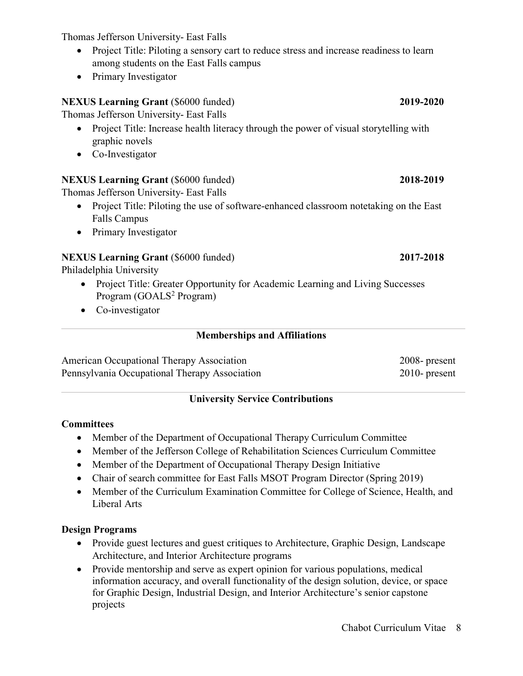Chabot Curriculum Vitae 8

Thomas Jefferson University- East Falls

- Project Title: Piloting a sensory cart to reduce stress and increase readiness to learn among students on the East Falls campus
- Primary Investigator

## **NEXUS Learning Grant** (\$6000 funded) **2019-2020**

Thomas Jefferson University- East Falls

- Project Title: Increase health literacy through the power of visual storytelling with graphic novels
- Co-Investigator

## **NEXUS Learning Grant** (\$6000 funded) **2018-2019**

Thomas Jefferson University- East Falls

- Project Title: Piloting the use of software-enhanced classroom notetaking on the East Falls Campus
- Primary Investigator

## **NEXUS Learning Grant** (\$6000 funded) **2017-2018**

Philadelphia University

- Project Title: Greater Opportunity for Academic Learning and Living Successes Program  $(GOALS<sup>2</sup> Program)$
- Co-investigator

## **Memberships and Affiliations**

American Occupational Therapy Association 2008- present Pennsylvania Occupational Therapy Association 2010- present

## **University Service Contributions**

## **Committees**

- Member of the Department of Occupational Therapy Curriculum Committee
- Member of the Jefferson College of Rehabilitation Sciences Curriculum Committee
- Member of the Department of Occupational Therapy Design Initiative
- Chair of search committee for East Falls MSOT Program Director (Spring 2019)
- Member of the Curriculum Examination Committee for College of Science, Health, and Liberal Arts

## **Design Programs**

- Provide guest lectures and guest critiques to Architecture, Graphic Design, Landscape Architecture, and Interior Architecture programs
- Provide mentorship and serve as expert opinion for various populations, medical information accuracy, and overall functionality of the design solution, device, or space for Graphic Design, Industrial Design, and Interior Architecture's senior capstone projects